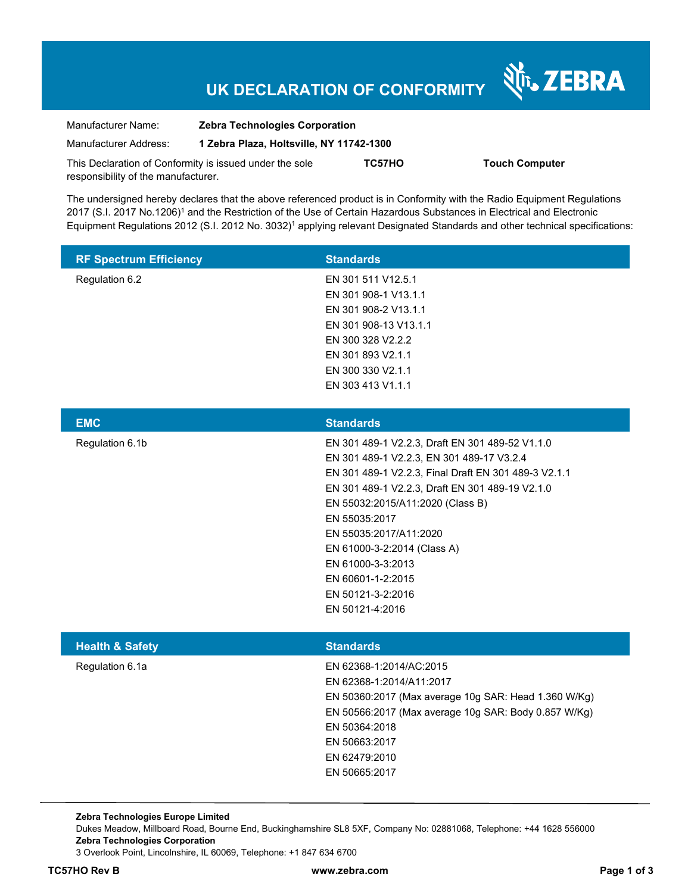# **UK DECLARATION OF CONFORMITY**

Nr. ZEBRA

| Manufacturer Name:                                      | <b>Zebra Technologies Corporation</b>    |        |                       |  |
|---------------------------------------------------------|------------------------------------------|--------|-----------------------|--|
| Manufacturer Address:                                   | 1 Zebra Plaza, Holtsville, NY 11742-1300 |        |                       |  |
| This Declaration of Conformity is issued under the sole |                                          | TC57HO | <b>Touch Computer</b> |  |
| responsibility of the manufacturer.                     |                                          |        |                       |  |

The undersigned hereby declares that the above referenced product is in Conformity with the Radio Equipment Regulations 2017 (S.I. 2017 No.1206)<sup>1</sup> and the Restriction of the Use of Certain Hazardous Substances in Electrical and Electronic Equipment Regulations 2012 (S.I. 2012 No. 3032)<sup>1</sup> applying relevant Designated Standards and other technical specifications:

| <b>RF Spectrum Efficiency</b> | <b>Standards</b>      |
|-------------------------------|-----------------------|
| Regulation 6.2                | EN 301 511 V12.5.1    |
|                               | EN 301 908-1 V13.1.1  |
|                               | EN 301 908-2 V13.1.1  |
|                               | EN 301 908-13 V13.1.1 |
|                               | EN 300 328 V2.2.2     |
|                               | EN 301 893 V2.1.1     |
|                               | EN 300 330 V2.1.1     |
|                               | EN 303 413 V1.1.1     |

| <b>EMC</b>      | <b>Standards</b>                                     |
|-----------------|------------------------------------------------------|
| Regulation 6.1b | EN 301 489-1 V2.2.3, Draft EN 301 489-52 V1.1.0      |
|                 | EN 301 489-1 V2.2.3, EN 301 489-17 V3.2.4            |
|                 | EN 301 489-1 V2.2.3, Final Draft EN 301 489-3 V2.1.1 |
|                 | EN 301 489-1 V2.2.3, Draft EN 301 489-19 V2.1.0      |
|                 | EN 55032:2015/A11:2020 (Class B)                     |
|                 | EN 55035:2017                                        |
|                 | EN 55035:2017/A11:2020                               |
|                 | EN 61000-3-2:2014 (Class A)                          |
|                 | EN 61000-3-3:2013                                    |
|                 | EN 60601-1-2:2015                                    |
|                 | EN 50121-3-2:2016                                    |
|                 | EN 50121-4:2016                                      |
|                 |                                                      |

| <b>Health &amp; Safety</b> | <b>Standards</b>                                     |
|----------------------------|------------------------------------------------------|
| Regulation 6.1a            | EN 62368-1:2014/AC:2015                              |
|                            | EN 62368-1:2014/A11:2017                             |
|                            | EN 50360:2017 (Max average 10g SAR: Head 1.360 W/Kg) |
|                            | EN 50566:2017 (Max average 10g SAR: Body 0.857 W/Kg) |
|                            | EN 50364:2018                                        |
|                            | EN 50663:2017                                        |
|                            | EN 62479:2010                                        |
|                            | EN 50665:2017                                        |

**Zebra Technologies Europe Limited**  Dukes Meadow, Millboard Road, Bourne End, Buckinghamshire SL8 5XF, Company No: 02881068, Telephone: +44 1628 556000 **Zebra Technologies Corporation**  3 Overlook Point, Lincolnshire, IL 60069, Telephone: +1 847 634 6700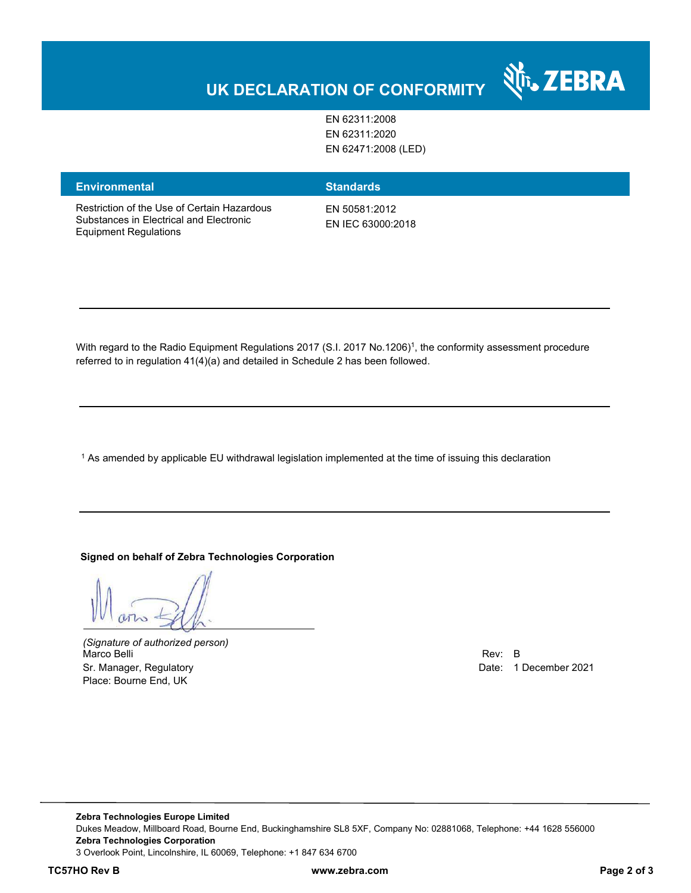## **UK DECLARATION OF CONFORMITY**

EN 62311:2008 EN 62311:2020 EN 62471:2008 (LED)

#### **Environmental Standards**

Restriction of the Use of Certain Hazardous Substances in Electrical and Electronic Equipment Regulations

EN 50581:2012 EN IEC 63000:2018

With regard to the Radio Equipment Regulations 2017 (S.I. 2017 No.1206)<sup>1</sup>, the conformity assessment procedure referred to in regulation 41(4)(a) and detailed in Schedule 2 has been followed.

 $^{\rm 1}$  As amended by applicable EU withdrawal legislation implemented at the time of issuing this declaration

#### **Signed on behalf of Zebra Technologies Corporation**

*(Signature of authorized person)* Marco Belli Rev: B Sr. Manager, Regulatory **Date: 1 December 2021** Place: Bourne End, UK

र्शे<sub>ं</sub> ZEBRA